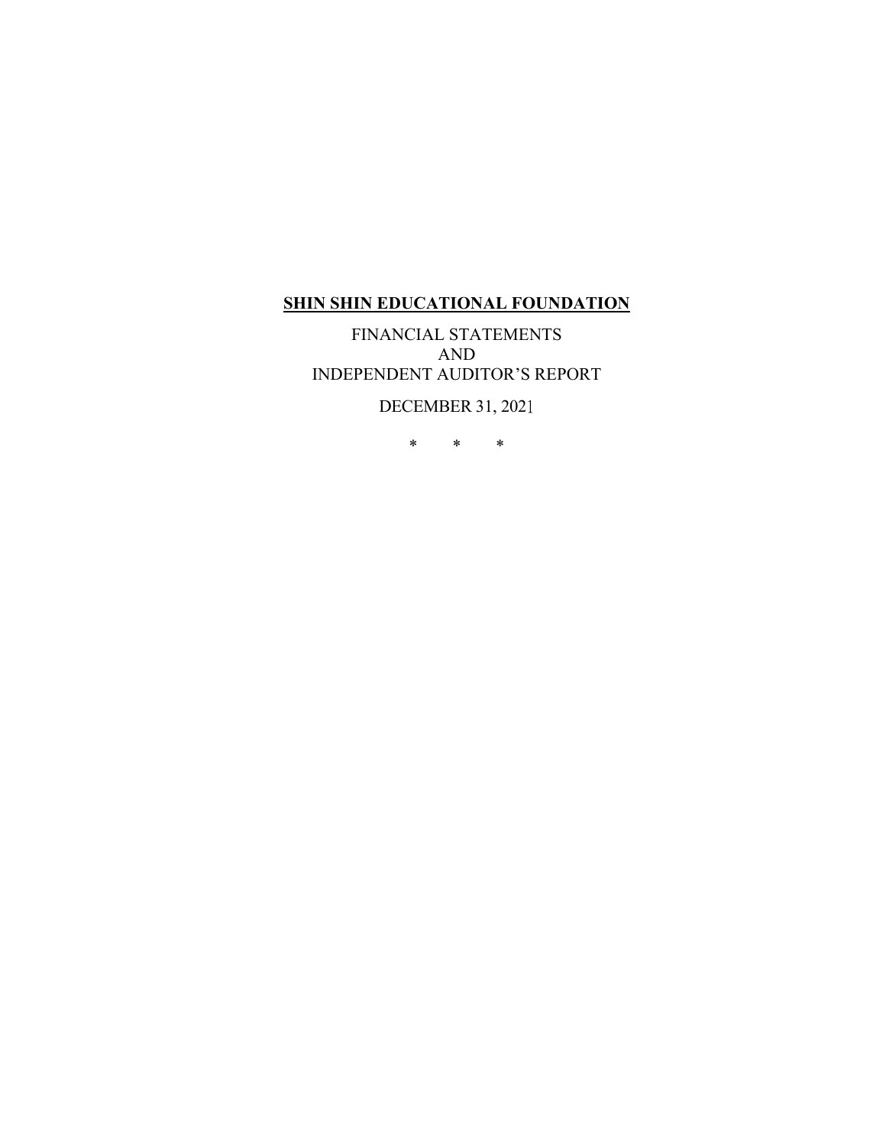FINANCIAL STATEMENTS AND INDEPENDENT AUDITOR'S REPORT

DECEMBER 31, 2021

\* \* \*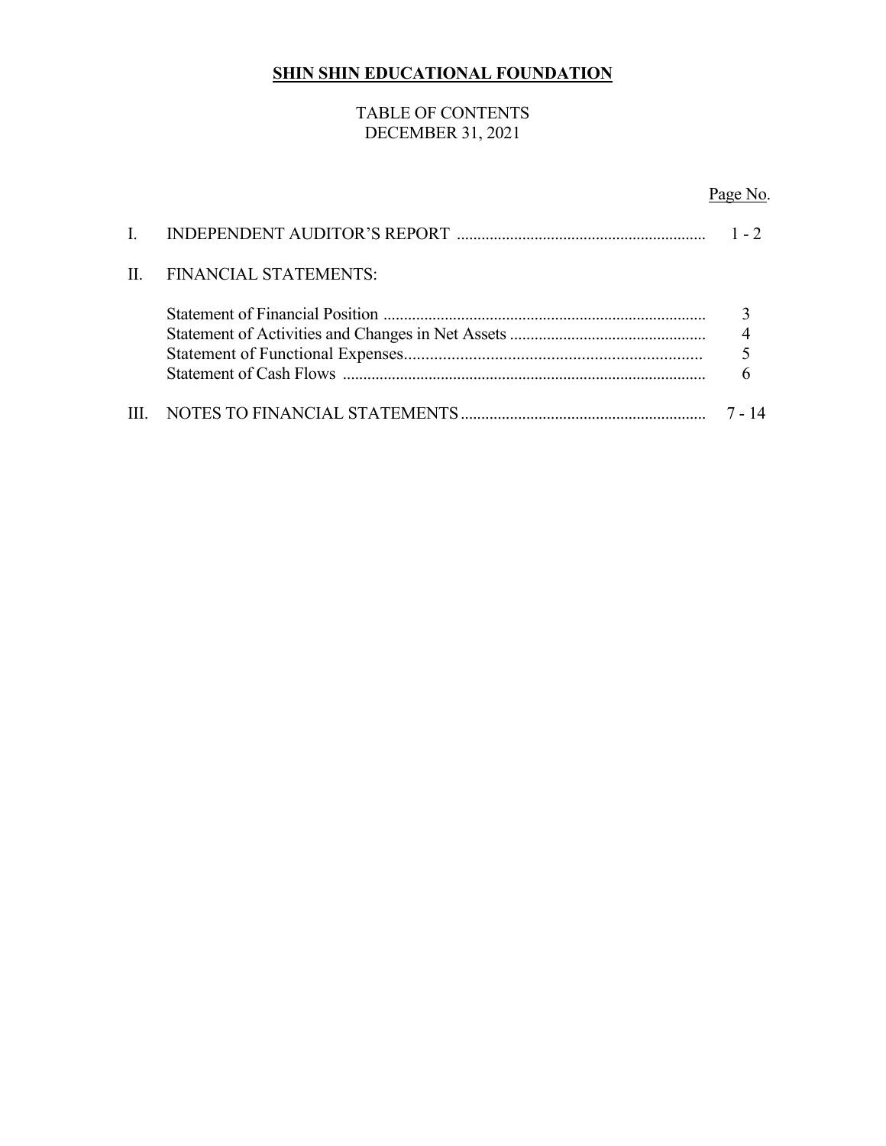## TABLE OF CONTENTS DECEMBER 31, 2021

# Page No.

| $\Pi$ . | <b>FINANCIAL STATEMENTS:</b> |  |
|---------|------------------------------|--|
|         |                              |  |
|         |                              |  |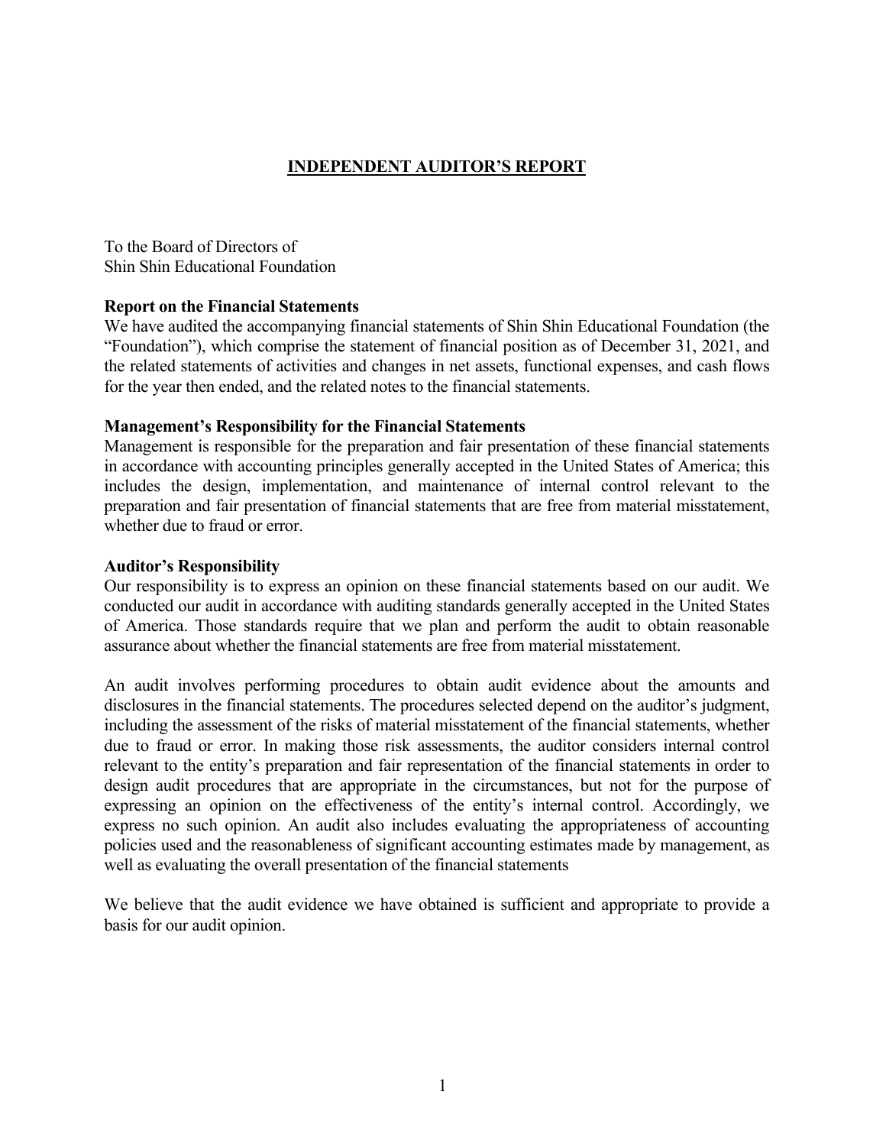### **INDEPENDENT AUDITOR'S REPORT**

To the Board of Directors of Shin Shin Educational Foundation

#### **Report on the Financial Statements**

We have audited the accompanying financial statements of Shin Shin Educational Foundation (the "Foundation"), which comprise the statement of financial position as of December 31, 2021, and the related statements of activities and changes in net assets, functional expenses, and cash flows for the year then ended, and the related notes to the financial statements.

#### **Management's Responsibility for the Financial Statements**

Management is responsible for the preparation and fair presentation of these financial statements in accordance with accounting principles generally accepted in the United States of America; this includes the design, implementation, and maintenance of internal control relevant to the preparation and fair presentation of financial statements that are free from material misstatement, whether due to fraud or error.

#### **Auditor's Responsibility**

Our responsibility is to express an opinion on these financial statements based on our audit. We conducted our audit in accordance with auditing standards generally accepted in the United States of America. Those standards require that we plan and perform the audit to obtain reasonable assurance about whether the financial statements are free from material misstatement.

An audit involves performing procedures to obtain audit evidence about the amounts and disclosures in the financial statements. The procedures selected depend on the auditor's judgment, including the assessment of the risks of material misstatement of the financial statements, whether due to fraud or error. In making those risk assessments, the auditor considers internal control relevant to the entity's preparation and fair representation of the financial statements in order to design audit procedures that are appropriate in the circumstances, but not for the purpose of expressing an opinion on the effectiveness of the entity's internal control. Accordingly, we express no such opinion. An audit also includes evaluating the appropriateness of accounting policies used and the reasonableness of significant accounting estimates made by management, as well as evaluating the overall presentation of the financial statements

We believe that the audit evidence we have obtained is sufficient and appropriate to provide a basis for our audit opinion.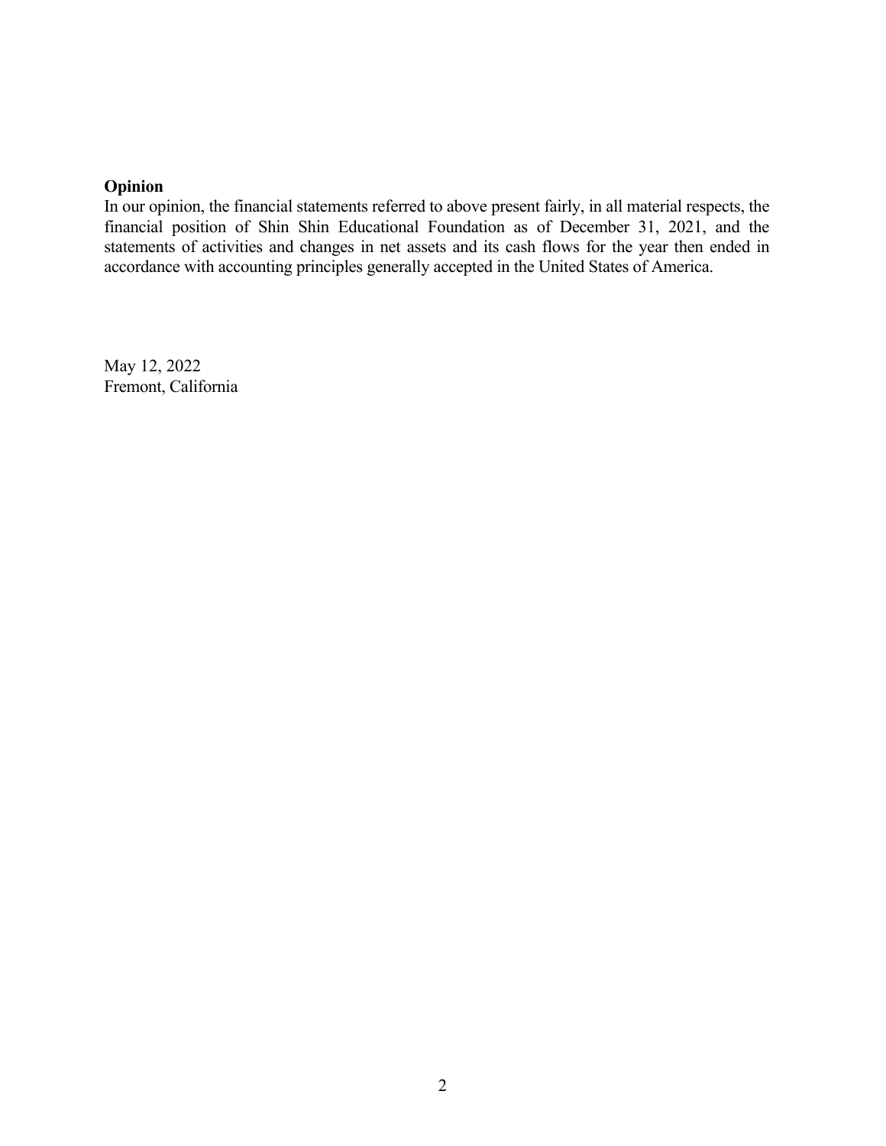## **Opinion**

In our opinion, the financial statements referred to above present fairly, in all material respects, the financial position of Shin Shin Educational Foundation as of December 31, 2021, and the statements of activities and changes in net assets and its cash flows for the year then ended in accordance with accounting principles generally accepted in the United States of America.

May 12, 2022 Fremont, California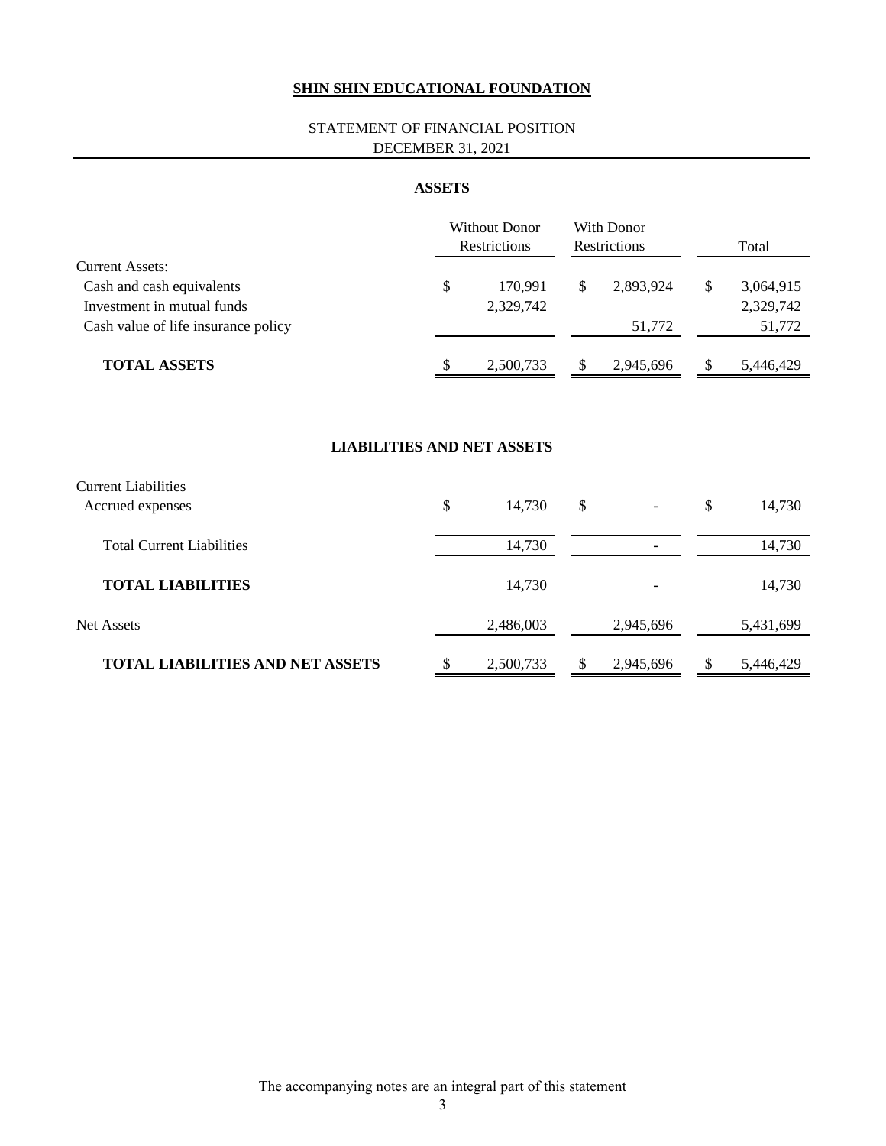#### STATEMENT OF FINANCIAL POSITION DECEMBER 31, 2021

#### **ASSETS**

|                                     | <b>Without Donor</b><br>Restrictions | With Donor<br>Restrictions | Total           |
|-------------------------------------|--------------------------------------|----------------------------|-----------------|
| <b>Current Assets:</b>              |                                      |                            |                 |
| Cash and cash equivalents           | \$<br>170.991                        | 2.893.924                  | \$<br>3,064,915 |
| Investment in mutual funds          | 2,329,742                            |                            | 2,329,742       |
| Cash value of life insurance policy |                                      | 51,772                     | 51,772          |
| <b>TOTAL ASSETS</b>                 | \$<br>2,500,733                      | 2.945.696                  | 5,446,429       |

#### **LIABILITIES AND NET ASSETS**

| <b>Current Liabilities</b>              |                 |                                |                 |
|-----------------------------------------|-----------------|--------------------------------|-----------------|
| Accrued expenses                        | \$<br>14,730    | \$<br>$\overline{\phantom{a}}$ | \$<br>14,730    |
| <b>Total Current Liabilities</b>        | 14,730          |                                | 14,730          |
| <b>TOTAL LIABILITIES</b>                | 14,730          |                                | 14,730          |
| <b>Net Assets</b>                       | 2,486,003       | 2,945,696                      | 5,431,699       |
| <b>TOTAL LIABILITIES AND NET ASSETS</b> | \$<br>2,500,733 | \$<br>2,945,696                | \$<br>5,446,429 |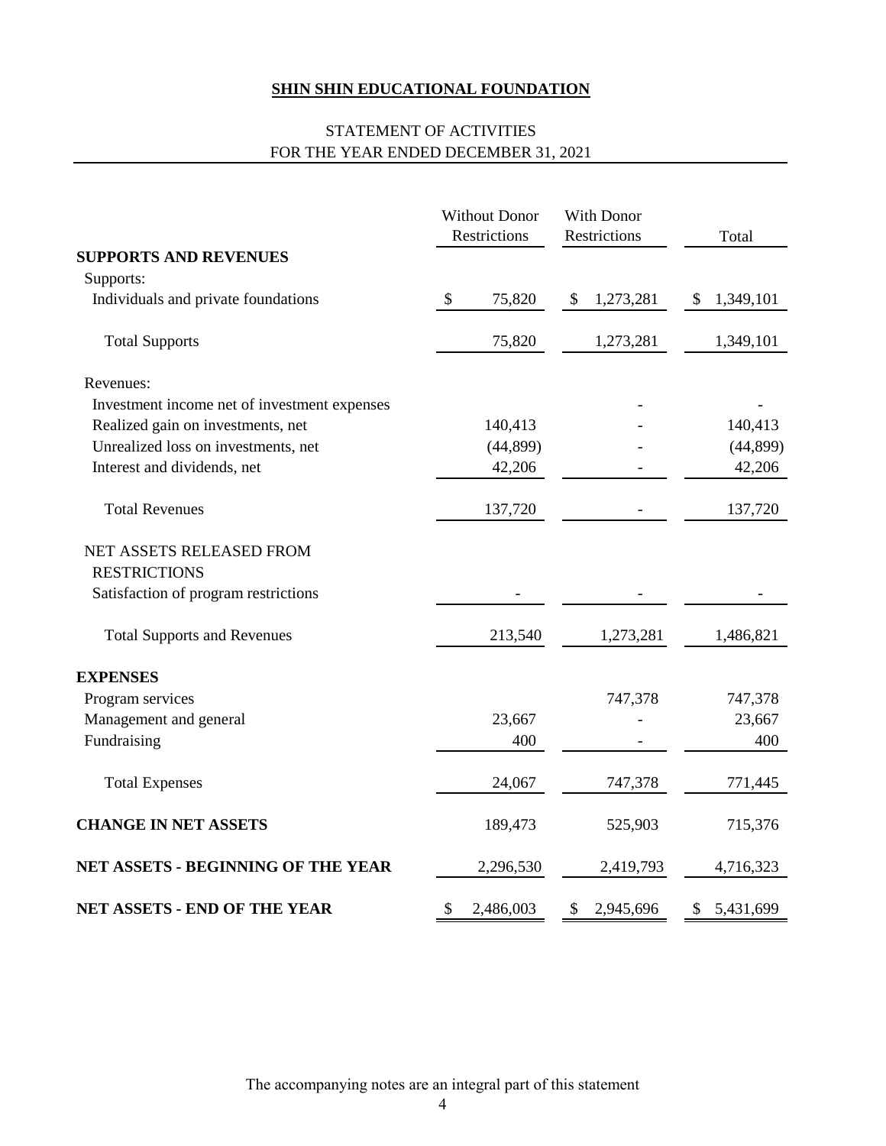## STATEMENT OF ACTIVITIES FOR THE YEAR ENDED DECEMBER 31, 2021

|                                              | <b>Without Donor</b><br>Restrictions | With Donor<br>Restrictions | Total           |
|----------------------------------------------|--------------------------------------|----------------------------|-----------------|
| <b>SUPPORTS AND REVENUES</b>                 |                                      |                            |                 |
| Supports:                                    |                                      |                            |                 |
| Individuals and private foundations          | $\mathcal{L}$<br>75,820              | 1,273,281<br>$\frac{1}{2}$ | 1,349,101<br>\$ |
| <b>Total Supports</b>                        | 75,820                               | 1,273,281                  | 1,349,101       |
| Revenues:                                    |                                      |                            |                 |
| Investment income net of investment expenses |                                      |                            |                 |
| Realized gain on investments, net            | 140,413                              |                            | 140,413         |
| Unrealized loss on investments, net          | (44, 899)                            |                            | (44, 899)       |
| Interest and dividends, net                  | 42,206                               |                            | 42,206          |
| <b>Total Revenues</b>                        | 137,720                              |                            | 137,720         |
| NET ASSETS RELEASED FROM                     |                                      |                            |                 |
| <b>RESTRICTIONS</b>                          |                                      |                            |                 |
| Satisfaction of program restrictions         |                                      |                            |                 |
| <b>Total Supports and Revenues</b>           | 213,540                              | 1,273,281                  | 1,486,821       |
| <b>EXPENSES</b>                              |                                      |                            |                 |
| Program services                             |                                      | 747,378                    | 747,378         |
| Management and general                       | 23,667                               |                            | 23,667          |
| Fundraising                                  | 400                                  |                            | 400             |
| <b>Total Expenses</b>                        | 24,067                               | 747,378                    | 771,445         |
| <b>CHANGE IN NET ASSETS</b>                  | 189,473                              | 525,903                    | 715,376         |
| NET ASSETS - BEGINNING OF THE YEAR           | 2,296,530                            | 2,419,793                  | 4,716,323       |
| NET ASSETS - END OF THE YEAR                 | \$<br>2,486,003                      | \$<br>2,945,696            | 5,431,699<br>\$ |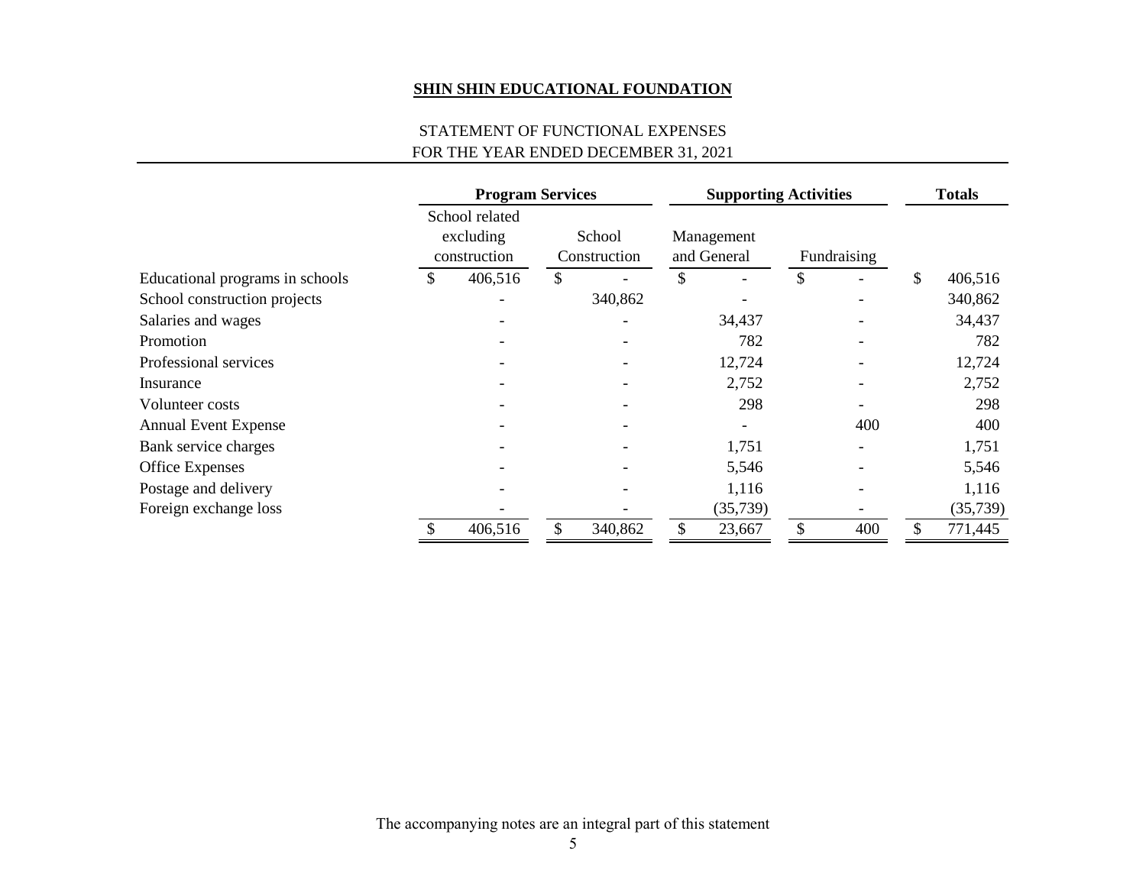### STATEMENT OF FUNCTIONAL EXPENSES FOR THE YEAR ENDED DECEMBER 31, 2021

|                                 | <b>Program Services</b> |                                             | <b>Supporting Activities</b> |    |                           | <b>Totals</b> |             |    |          |
|---------------------------------|-------------------------|---------------------------------------------|------------------------------|----|---------------------------|---------------|-------------|----|----------|
|                                 |                         | School related<br>excluding<br>construction | School<br>Construction       |    | Management<br>and General |               | Fundraising |    |          |
| Educational programs in schools | \$                      | 406,516                                     | \$                           | \$ |                           | \$            |             | \$ | 406,516  |
| School construction projects    |                         |                                             | 340,862                      |    |                           |               |             |    | 340,862  |
| Salaries and wages              |                         |                                             |                              |    | 34,437                    |               |             |    | 34,437   |
| Promotion                       |                         |                                             |                              |    | 782                       |               |             |    | 782      |
| Professional services           |                         |                                             |                              |    | 12,724                    |               |             |    | 12,724   |
| Insurance                       |                         |                                             |                              |    | 2,752                     |               |             |    | 2,752    |
| Volunteer costs                 |                         |                                             |                              |    | 298                       |               |             |    | 298      |
| <b>Annual Event Expense</b>     |                         |                                             |                              |    |                           |               | 400         |    | 400      |
| Bank service charges            |                         |                                             |                              |    | 1,751                     |               |             |    | 1,751    |
| <b>Office Expenses</b>          |                         |                                             |                              |    | 5,546                     |               |             |    | 5,546    |
| Postage and delivery            |                         |                                             |                              |    | 1,116                     |               |             |    | 1,116    |
| Foreign exchange loss           |                         |                                             |                              |    | (35,739)                  |               |             |    | (35,739) |
|                                 |                         | 406,516                                     | 340,862                      |    | 23,667                    |               | 400         |    | 771,445  |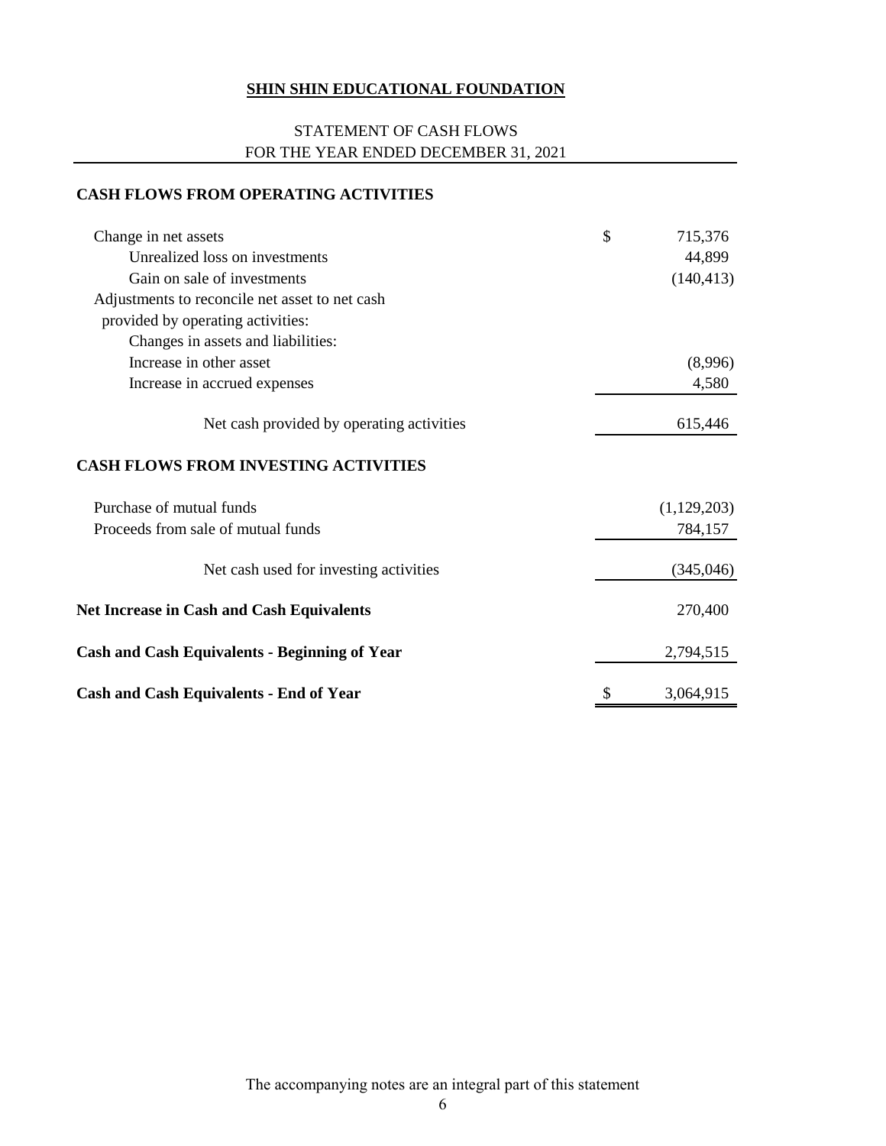### STATEMENT OF CASH FLOWS FOR THE YEAR ENDED DECEMBER 31, 2021

### **CASH FLOWS FROM OPERATING ACTIVITIES**

| Change in net assets                                 | \$<br>715,376   |
|------------------------------------------------------|-----------------|
| Unrealized loss on investments                       | 44,899          |
| Gain on sale of investments                          | (140, 413)      |
| Adjustments to reconcile net asset to net cash       |                 |
| provided by operating activities:                    |                 |
| Changes in assets and liabilities:                   |                 |
| Increase in other asset                              | (8,996)         |
| Increase in accrued expenses                         | 4,580           |
| Net cash provided by operating activities            | 615,446         |
| <b>CASH FLOWS FROM INVESTING ACTIVITIES</b>          |                 |
| Purchase of mutual funds                             | (1,129,203)     |
| Proceeds from sale of mutual funds                   | 784,157         |
| Net cash used for investing activities               | (345,046)       |
| <b>Net Increase in Cash and Cash Equivalents</b>     | 270,400         |
| <b>Cash and Cash Equivalents - Beginning of Year</b> | 2,794,515       |
| <b>Cash and Cash Equivalents - End of Year</b>       | \$<br>3,064,915 |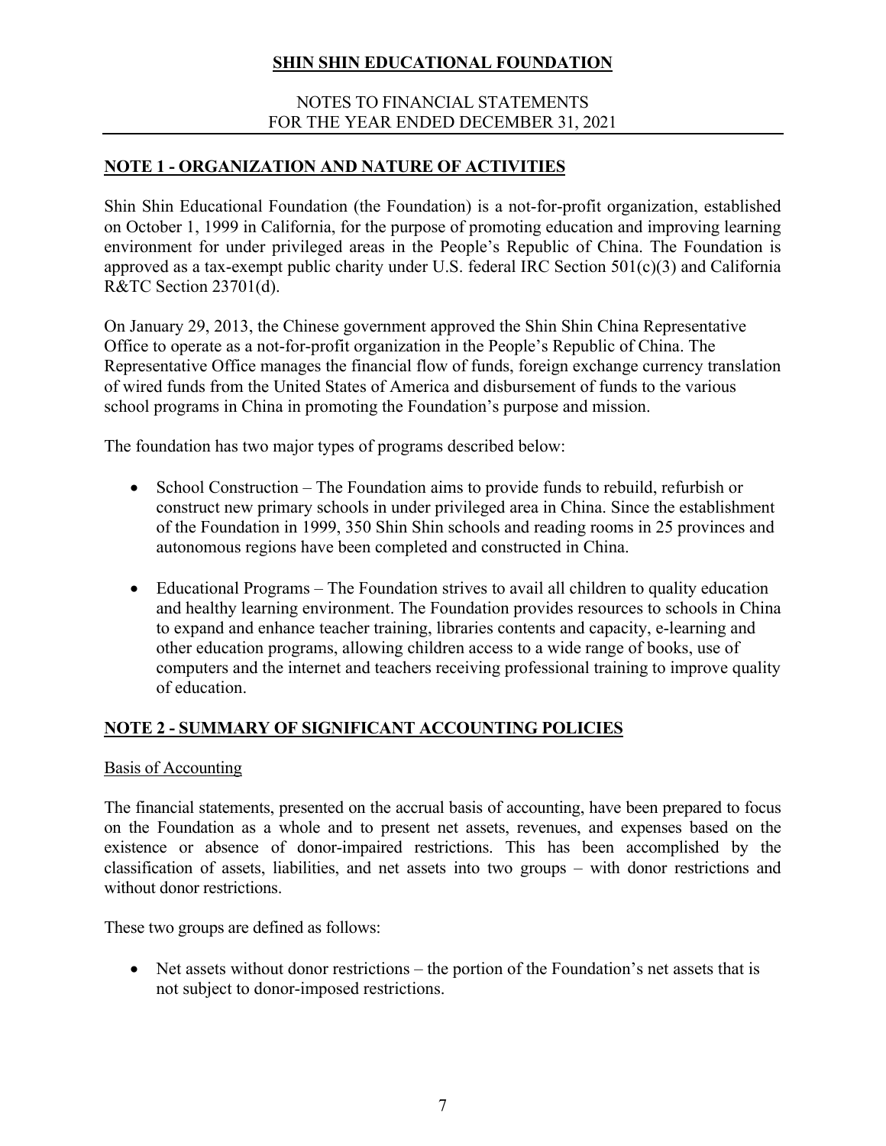### NOTES TO FINANCIAL STATEMENTS FOR THE YEAR ENDED DECEMBER 31, 2021

# **NOTE 1 - ORGANIZATION AND NATURE OF ACTIVITIES**

Shin Shin Educational Foundation (the Foundation) is a not-for-profit organization, established on October 1, 1999 in California, for the purpose of promoting education and improving learning environment for under privileged areas in the People's Republic of China. The Foundation is approved as a tax-exempt public charity under U.S. federal IRC Section 501(c)(3) and California R&TC Section 23701(d).

On January 29, 2013, the Chinese government approved the Shin Shin China Representative Office to operate as a not-for-profit organization in the People's Republic of China. The Representative Office manages the financial flow of funds, foreign exchange currency translation of wired funds from the United States of America and disbursement of funds to the various school programs in China in promoting the Foundation's purpose and mission.

The foundation has two major types of programs described below:

- School Construction The Foundation aims to provide funds to rebuild, refurbish or construct new primary schools in under privileged area in China. Since the establishment of the Foundation in 1999, 350 Shin Shin schools and reading rooms in 25 provinces and autonomous regions have been completed and constructed in China.
- Educational Programs The Foundation strives to avail all children to quality education and healthy learning environment. The Foundation provides resources to schools in China to expand and enhance teacher training, libraries contents and capacity, e-learning and other education programs, allowing children access to a wide range of books, use of computers and the internet and teachers receiving professional training to improve quality of education.

# **NOTE 2 - SUMMARY OF SIGNIFICANT ACCOUNTING POLICIES**

### Basis of Accounting

The financial statements, presented on the accrual basis of accounting, have been prepared to focus on the Foundation as a whole and to present net assets, revenues, and expenses based on the existence or absence of donor-impaired restrictions. This has been accomplished by the classification of assets, liabilities, and net assets into two groups – with donor restrictions and without donor restrictions.

These two groups are defined as follows:

• Net assets without donor restrictions – the portion of the Foundation's net assets that is not subject to donor-imposed restrictions.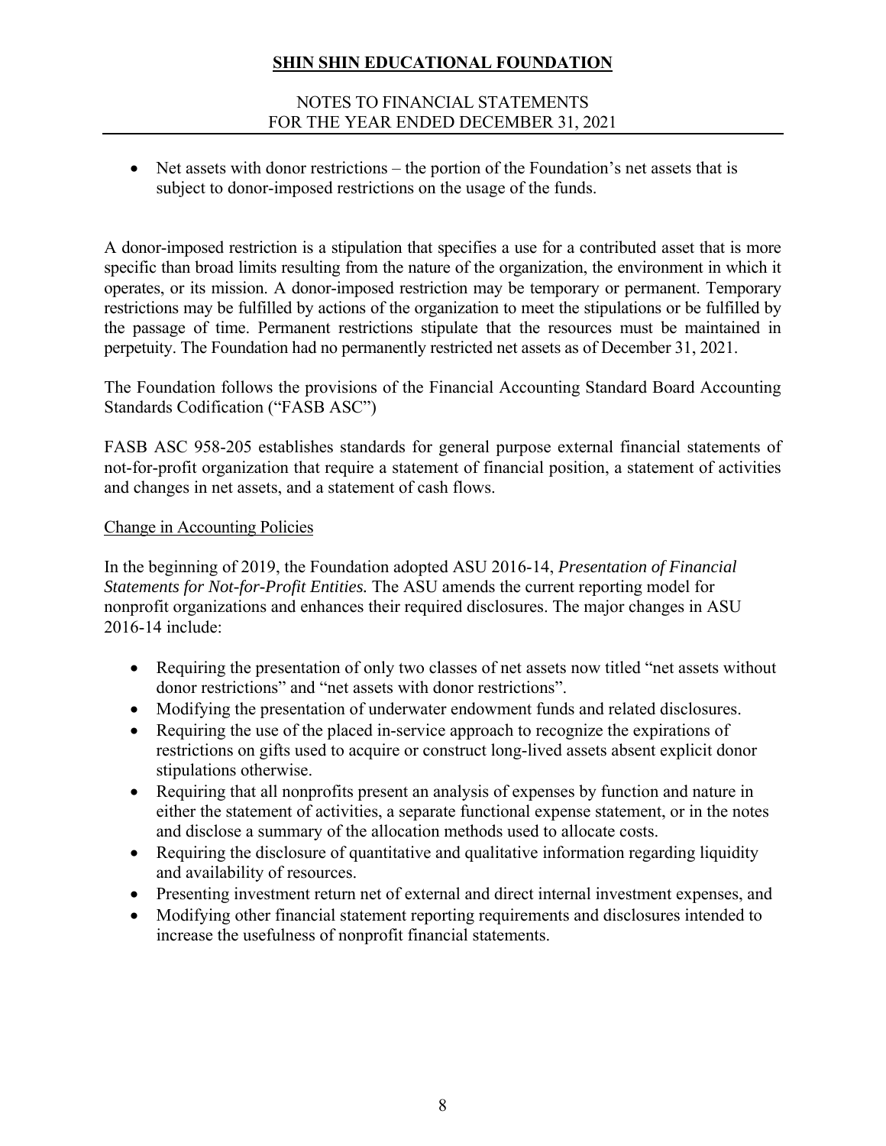### NOTES TO FINANCIAL STATEMENTS FOR THE YEAR ENDED DECEMBER 31, 2021

• Net assets with donor restrictions – the portion of the Foundation's net assets that is subject to donor-imposed restrictions on the usage of the funds.

A donor-imposed restriction is a stipulation that specifies a use for a contributed asset that is more specific than broad limits resulting from the nature of the organization, the environment in which it operates, or its mission. A donor-imposed restriction may be temporary or permanent. Temporary restrictions may be fulfilled by actions of the organization to meet the stipulations or be fulfilled by the passage of time. Permanent restrictions stipulate that the resources must be maintained in perpetuity. The Foundation had no permanently restricted net assets as of December 31, 2021.

The Foundation follows the provisions of the Financial Accounting Standard Board Accounting Standards Codification ("FASB ASC")

FASB ASC 958-205 establishes standards for general purpose external financial statements of not-for-profit organization that require a statement of financial position, a statement of activities and changes in net assets, and a statement of cash flows.

### Change in Accounting Policies

In the beginning of 2019, the Foundation adopted ASU 2016-14, *Presentation of Financial Statements for Not-for-Profit Entities.* The ASU amends the current reporting model for nonprofit organizations and enhances their required disclosures. The major changes in ASU 2016-14 include:

- Requiring the presentation of only two classes of net assets now titled "net assets without donor restrictions" and "net assets with donor restrictions".
- Modifying the presentation of underwater endowment funds and related disclosures.
- Requiring the use of the placed in-service approach to recognize the expirations of restrictions on gifts used to acquire or construct long-lived assets absent explicit donor stipulations otherwise.
- Requiring that all nonprofits present an analysis of expenses by function and nature in either the statement of activities, a separate functional expense statement, or in the notes and disclose a summary of the allocation methods used to allocate costs.
- Requiring the disclosure of quantitative and qualitative information regarding liquidity and availability of resources.
- Presenting investment return net of external and direct internal investment expenses, and
- Modifying other financial statement reporting requirements and disclosures intended to increase the usefulness of nonprofit financial statements.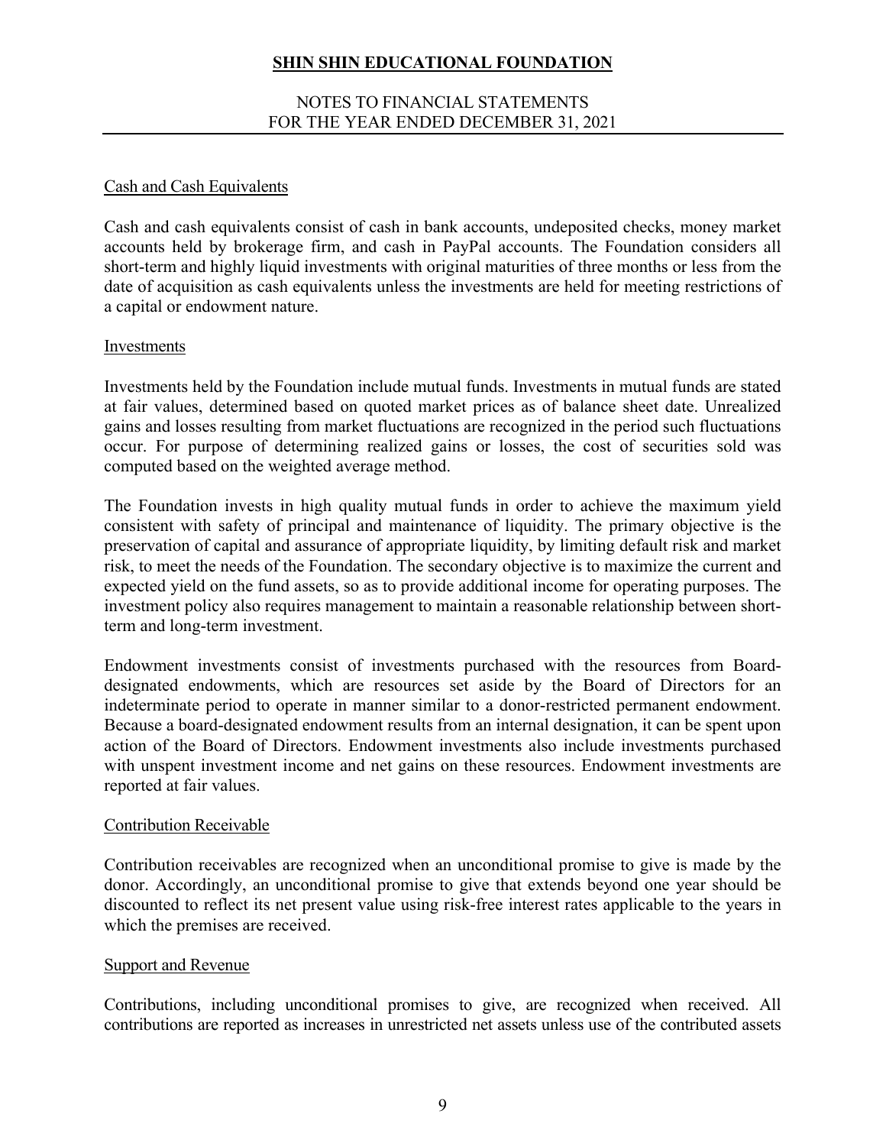#### NOTES TO FINANCIAL STATEMENTS FOR THE YEAR ENDED DECEMBER 31, 2021

### Cash and Cash Equivalents

Cash and cash equivalents consist of cash in bank accounts, undeposited checks, money market accounts held by brokerage firm, and cash in PayPal accounts. The Foundation considers all short-term and highly liquid investments with original maturities of three months or less from the date of acquisition as cash equivalents unless the investments are held for meeting restrictions of a capital or endowment nature.

#### Investments

Investments held by the Foundation include mutual funds. Investments in mutual funds are stated at fair values, determined based on quoted market prices as of balance sheet date. Unrealized gains and losses resulting from market fluctuations are recognized in the period such fluctuations occur. For purpose of determining realized gains or losses, the cost of securities sold was computed based on the weighted average method.

The Foundation invests in high quality mutual funds in order to achieve the maximum yield consistent with safety of principal and maintenance of liquidity. The primary objective is the preservation of capital and assurance of appropriate liquidity, by limiting default risk and market risk, to meet the needs of the Foundation. The secondary objective is to maximize the current and expected yield on the fund assets, so as to provide additional income for operating purposes. The investment policy also requires management to maintain a reasonable relationship between shortterm and long-term investment.

Endowment investments consist of investments purchased with the resources from Boarddesignated endowments, which are resources set aside by the Board of Directors for an indeterminate period to operate in manner similar to a donor-restricted permanent endowment. Because a board-designated endowment results from an internal designation, it can be spent upon action of the Board of Directors. Endowment investments also include investments purchased with unspent investment income and net gains on these resources. Endowment investments are reported at fair values.

#### Contribution Receivable

Contribution receivables are recognized when an unconditional promise to give is made by the donor. Accordingly, an unconditional promise to give that extends beyond one year should be discounted to reflect its net present value using risk-free interest rates applicable to the years in which the premises are received.

#### Support and Revenue

Contributions, including unconditional promises to give, are recognized when received. All contributions are reported as increases in unrestricted net assets unless use of the contributed assets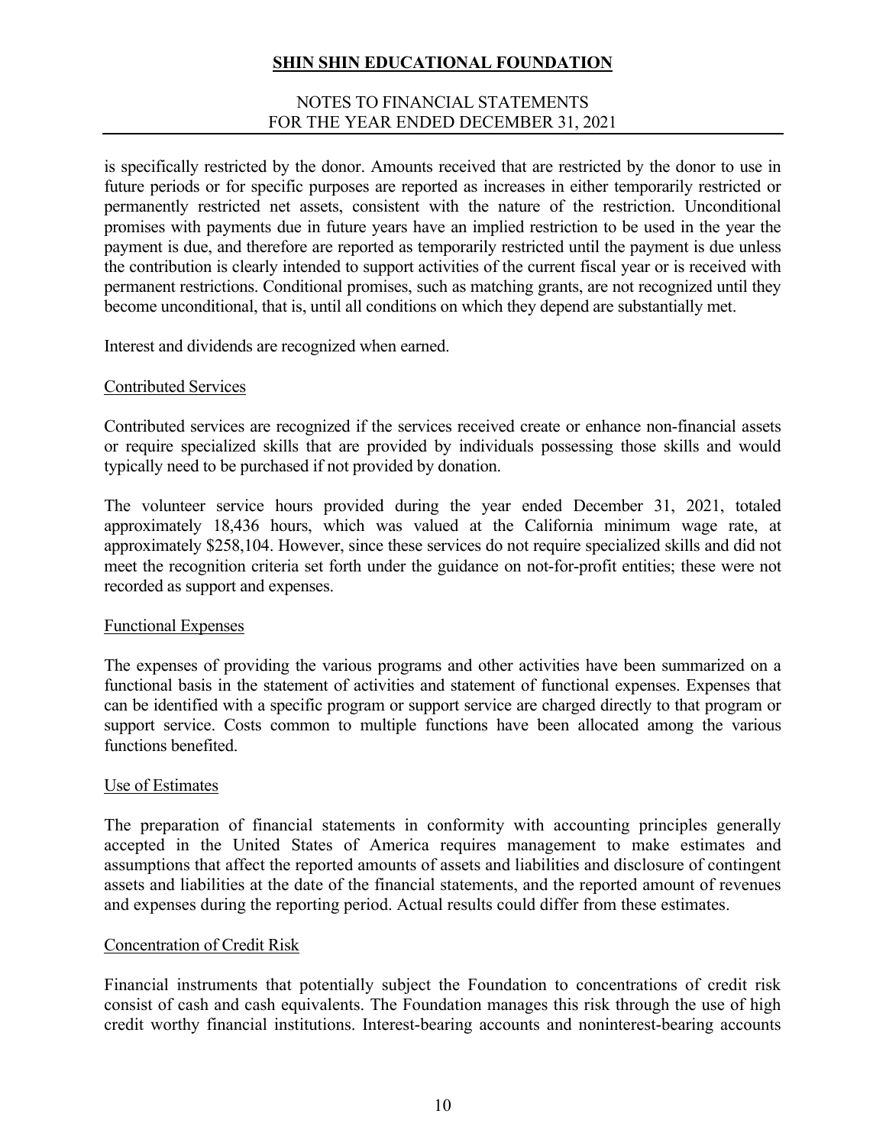#### NOTES TO FINANCIAL STATEMENTS FOR THE YEAR ENDED DECEMBER 31, 2021

is specifically restricted by the donor. Amounts received that are restricted by the donor to use in future periods or for specific purposes are reported as increases in either temporarily restricted or permanently restricted net assets, consistent with the nature of the restriction. Unconditional promises with payments due in future years have an implied restriction to be used in the year the payment is due, and therefore are reported as temporarily restricted until the payment is due unless the contribution is clearly intended to support activities of the current fiscal year or is received with permanent restrictions. Conditional promises, such as matching grants, are not recognized until they become unconditional, that is, until all conditions on which they depend are substantially met.

Interest and dividends are recognized when earned.

#### Contributed Services

Contributed services are recognized if the services received create or enhance non-financial assets or require specialized skills that are provided by individuals possessing those skills and would typically need to be purchased if not provided by donation.

The volunteer service hours provided during the year ended December 31, 2021, totaled approximately 18,436 hours, which was valued at the California minimum wage rate, at approximately \$258,104. However, since these services do not require specialized skills and did not meet the recognition criteria set forth under the guidance on not-for-profit entities; these were not recorded as support and expenses.

#### Functional Expenses

The expenses of providing the various programs and other activities have been summarized on a functional basis in the statement of activities and statement of functional expenses. Expenses that can be identified with a specific program or support service are charged directly to that program or support service. Costs common to multiple functions have been allocated among the various functions benefited.

#### Use of Estimates

The preparation of financial statements in conformity with accounting principles generally accepted in the United States of America requires management to make estimates and assumptions that affect the reported amounts of assets and liabilities and disclosure of contingent assets and liabilities at the date of the financial statements, and the reported amount of revenues and expenses during the reporting period. Actual results could differ from these estimates.

#### Concentration of Credit Risk

Financial instruments that potentially subject the Foundation to concentrations of credit risk consist of cash and cash equivalents. The Foundation manages this risk through the use of high credit worthy financial institutions. Interest-bearing accounts and noninterest-bearing accounts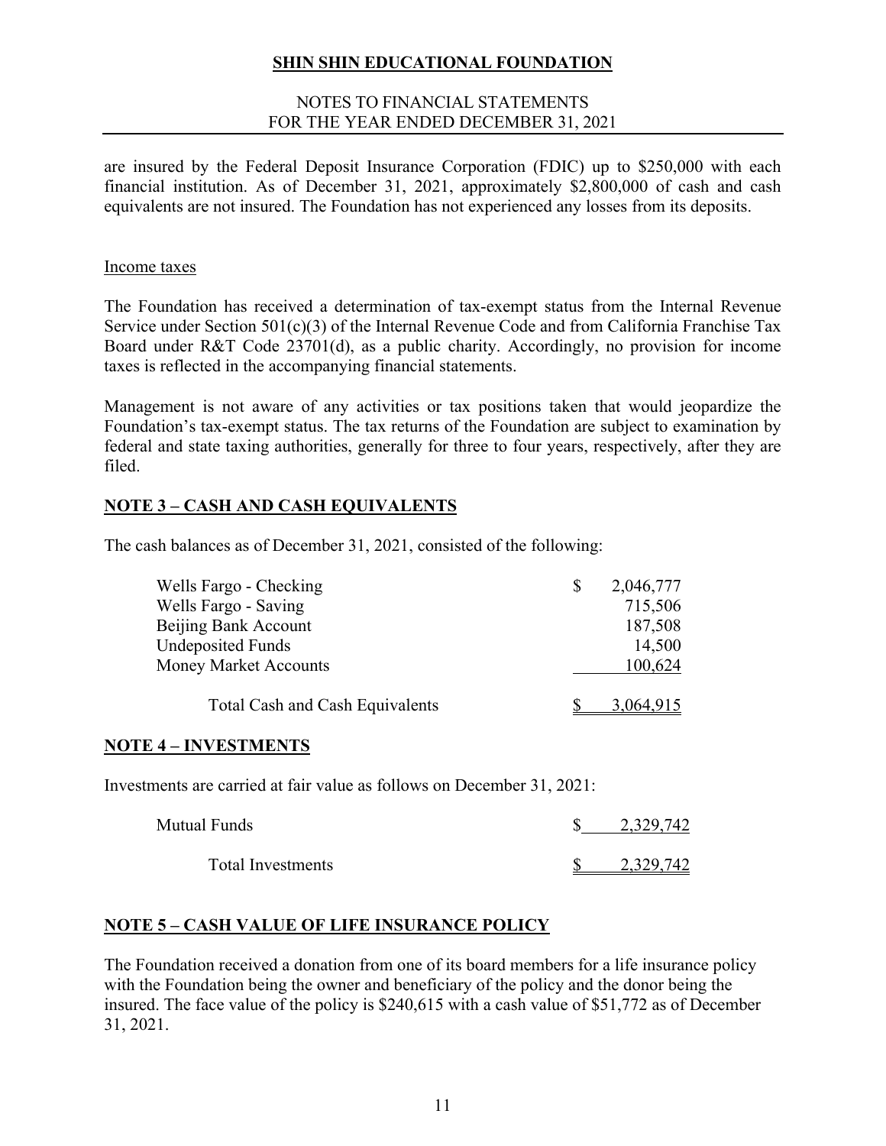#### NOTES TO FINANCIAL STATEMENTS FOR THE YEAR ENDED DECEMBER 31, 2021

are insured by the Federal Deposit Insurance Corporation (FDIC) up to \$250,000 with each financial institution. As of December 31, 2021, approximately \$2,800,000 of cash and cash equivalents are not insured. The Foundation has not experienced any losses from its deposits.

#### Income taxes

The Foundation has received a determination of tax-exempt status from the Internal Revenue Service under Section 501(c)(3) of the Internal Revenue Code and from California Franchise Tax Board under R&T Code 23701(d), as a public charity. Accordingly, no provision for income taxes is reflected in the accompanying financial statements.

Management is not aware of any activities or tax positions taken that would jeopardize the Foundation's tax-exempt status. The tax returns of the Foundation are subject to examination by federal and state taxing authorities, generally for three to four years, respectively, after they are filed.

## **NOTE 3 – CASH AND CASH EQUIVALENTS**

The cash balances as of December 31, 2021, consisted of the following:

| Wells Fargo - Checking                 | 2,046,777 |
|----------------------------------------|-----------|
| Wells Fargo - Saving                   | 715,506   |
| Beijing Bank Account                   | 187,508   |
| <b>Undeposited Funds</b>               | 14,500    |
| <b>Money Market Accounts</b>           | 100,624   |
| <b>Total Cash and Cash Equivalents</b> | 3,064.915 |

### **NOTE 4 – INVESTMENTS**

Investments are carried at fair value as follows on December 31, 2021:

| Mutual Funds             | 2,329,742 |
|--------------------------|-----------|
| <b>Total Investments</b> | 2.329.742 |

### **NOTE 5 – CASH VALUE OF LIFE INSURANCE POLICY**

The Foundation received a donation from one of its board members for a life insurance policy with the Foundation being the owner and beneficiary of the policy and the donor being the insured. The face value of the policy is \$240,615 with a cash value of \$51,772 as of December 31, 2021.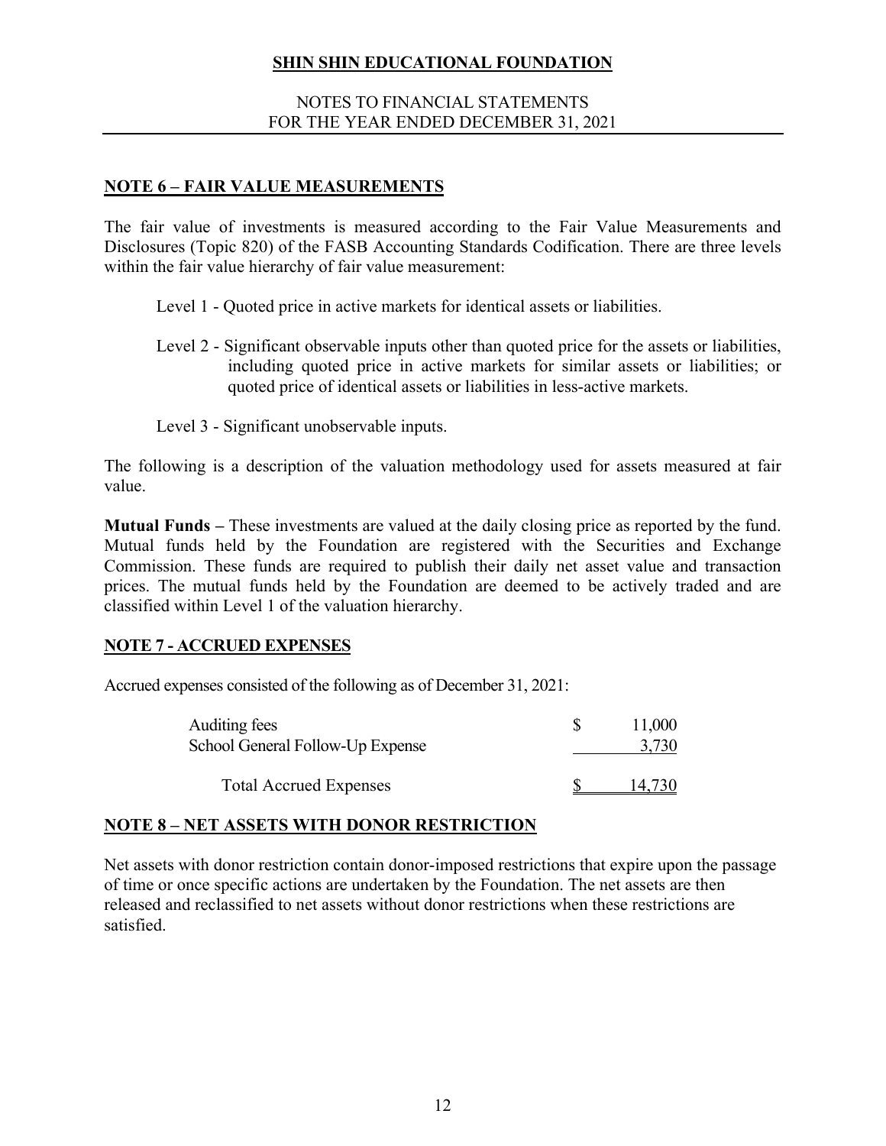#### NOTES TO FINANCIAL STATEMENTS FOR THE YEAR ENDED DECEMBER 31, 2021

### **NOTE 6 – FAIR VALUE MEASUREMENTS**

The fair value of investments is measured according to the Fair Value Measurements and Disclosures (Topic 820) of the FASB Accounting Standards Codification. There are three levels within the fair value hierarchy of fair value measurement:

Level 1 - Quoted price in active markets for identical assets or liabilities.

- Level 2 Significant observable inputs other than quoted price for the assets or liabilities, including quoted price in active markets for similar assets or liabilities; or quoted price of identical assets or liabilities in less-active markets.
- Level 3 Significant unobservable inputs.

The following is a description of the valuation methodology used for assets measured at fair value.

**Mutual Funds –** These investments are valued at the daily closing price as reported by the fund. Mutual funds held by the Foundation are registered with the Securities and Exchange Commission. These funds are required to publish their daily net asset value and transaction prices. The mutual funds held by the Foundation are deemed to be actively traded and are classified within Level 1 of the valuation hierarchy.

### **NOTE 7 - ACCRUED EXPENSES**

Accrued expenses consisted of the following as of December 31, 2021:

| Auditing fees                    | 11,000 |
|----------------------------------|--------|
| School General Follow-Up Expense |        |
|                                  |        |
| <b>Total Accrued Expenses</b>    |        |

#### **NOTE 8 – NET ASSETS WITH DONOR RESTRICTION**

Net assets with donor restriction contain donor-imposed restrictions that expire upon the passage of time or once specific actions are undertaken by the Foundation. The net assets are then released and reclassified to net assets without donor restrictions when these restrictions are satisfied.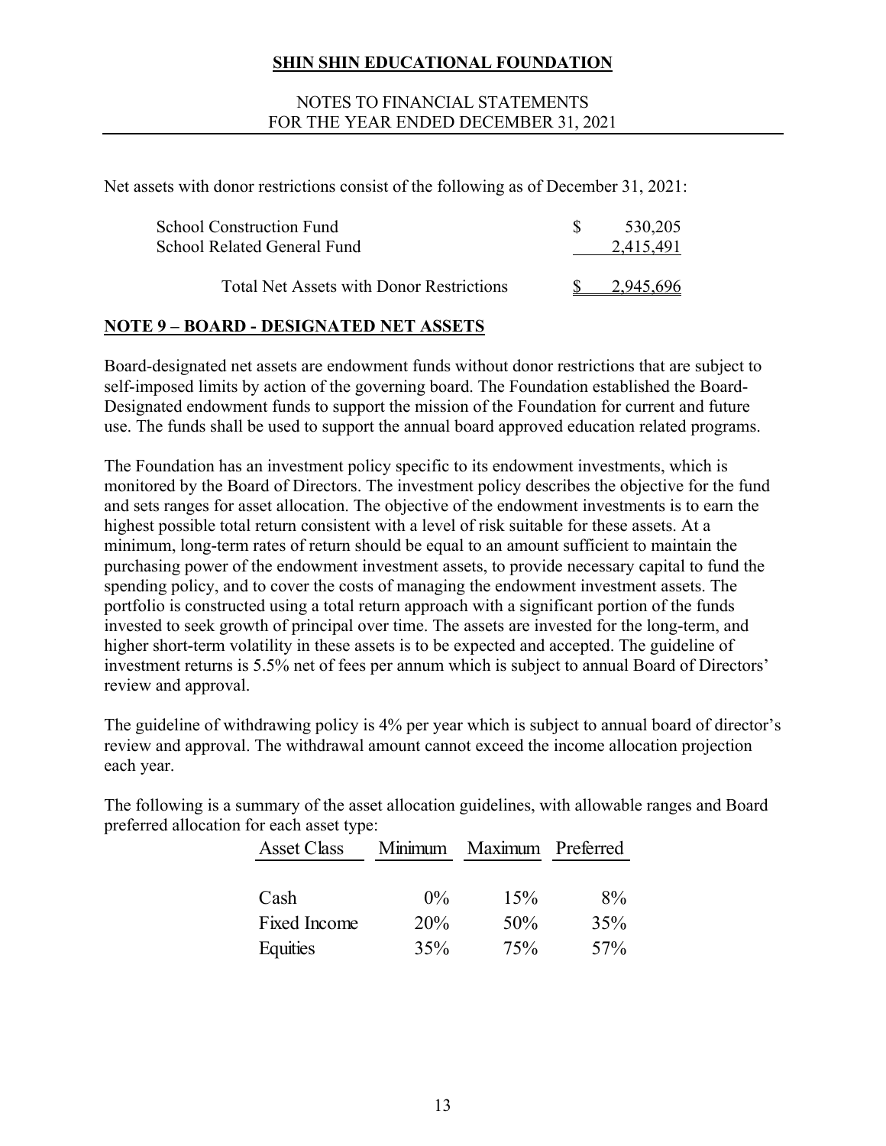#### NOTES TO FINANCIAL STATEMENTS FOR THE YEAR ENDED DECEMBER 31, 2021

Net assets with donor restrictions consist of the following as of December 31, 2021:

| School Construction Fund<br><b>School Related General Fund</b> | 530,205<br>2.415.491 |
|----------------------------------------------------------------|----------------------|
| <b>Total Net Assets with Donor Restrictions</b>                |                      |

## **NOTE 9 – BOARD - DESIGNATED NET ASSETS**

Board-designated net assets are endowment funds without donor restrictions that are subject to self-imposed limits by action of the governing board. The Foundation established the Board-Designated endowment funds to support the mission of the Foundation for current and future use. The funds shall be used to support the annual board approved education related programs.

The Foundation has an investment policy specific to its endowment investments, which is monitored by the Board of Directors. The investment policy describes the objective for the fund and sets ranges for asset allocation. The objective of the endowment investments is to earn the highest possible total return consistent with a level of risk suitable for these assets. At a minimum, long-term rates of return should be equal to an amount sufficient to maintain the purchasing power of the endowment investment assets, to provide necessary capital to fund the spending policy, and to cover the costs of managing the endowment investment assets. The portfolio is constructed using a total return approach with a significant portion of the funds invested to seek growth of principal over time. The assets are invested for the long-term, and higher short-term volatility in these assets is to be expected and accepted. The guideline of investment returns is 5.5% net of fees per annum which is subject to annual Board of Directors' review and approval.

The guideline of withdrawing policy is 4% per year which is subject to annual board of director's review and approval. The withdrawal amount cannot exceed the income allocation projection each year.

The following is a summary of the asset allocation guidelines, with allowable ranges and Board preferred allocation for each asset type:

| <b>Asset Class</b> |       | Minimum Maximum Preferred |     |
|--------------------|-------|---------------------------|-----|
|                    |       |                           |     |
| Cash               | $0\%$ | 15%                       | 8%  |
| Fixed Income       | 20%   | 50%                       | 35% |
| Equities           | 35%   | 75%                       | 57% |